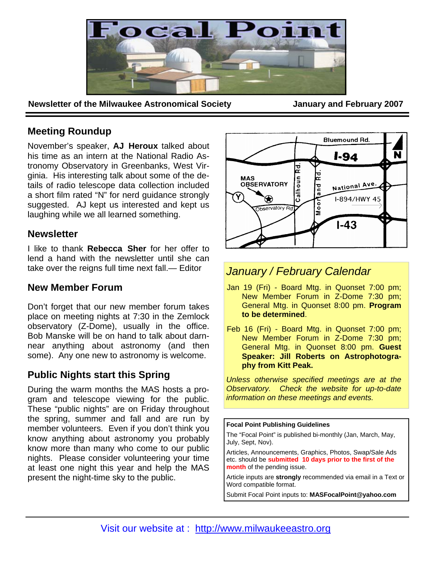

**Newsletter of the Milwaukee Astronomical Society <b>State State January and February 2007** 

# **Meeting Roundup**

November's speaker, **AJ Heroux** talked about his time as an intern at the National Radio Astronomy Observatory in Greenbanks, West Virginia. His interesting talk about some of the details of radio telescope data collection included a short film rated "N" for nerd guidance strongly suggested. AJ kept us interested and kept us laughing while we all learned something.

# **Newsletter**

I like to thank **Rebecca Sher** for her offer to lend a hand with the newsletter until she can take over the reigns full time next fall.— Editor

# **New Member Forum**

Don't forget that our new member forum takes place on meeting nights at 7:30 in the Zemlock observatory (Z-Dome), usually in the office. Bob Manske will be on hand to talk about darnnear anything about astronomy (and then some). Any one new to astronomy is welcome.

# **Public Nights start this Spring**

During the warm months the MAS hosts a program and telescope viewing for the public. These "public nights" are on Friday throughout the spring, summer and fall and are run by member volunteers. Even if you don't think you know anything about astronomy you probably know more than many who come to our public nights. Please consider volunteering your time at least one night this year and help the MAS present the night-time sky to the public.



# *January / February Calendar*

- Jan 19 (Fri) Board Mtg. in Quonset 7:00 pm; New Member Forum in Z-Dome 7:30 pm; General Mtg. in Quonset 8:00 pm. **Program to be determined**.
- Feb 16 (Fri) Board Mtg. in Quonset 7:00 pm; New Member Forum in Z-Dome 7:30 pm; General Mtg. in Quonset 8:00 pm. **Guest Speaker: Jill Roberts on Astrophotography from Kitt Peak.**

*Unless otherwise specified meetings are at the Observatory. Check the website for up-to-date information on these meetings and events.* 

**Focal Point Publishing Guidelines** 

The "Focal Point" is published bi-monthly (Jan, March, May, July, Sept, Nov).

Articles, Announcements, Graphics, Photos, Swap/Sale Ads etc. should be **submitted 10 days prior to the first of the month** of the pending issue.

Article inputs are **strongly** recommended via email in a Text or Word compatible format.

Submit Focal Point inputs to: **MASFocalPoint@yahoo.com**